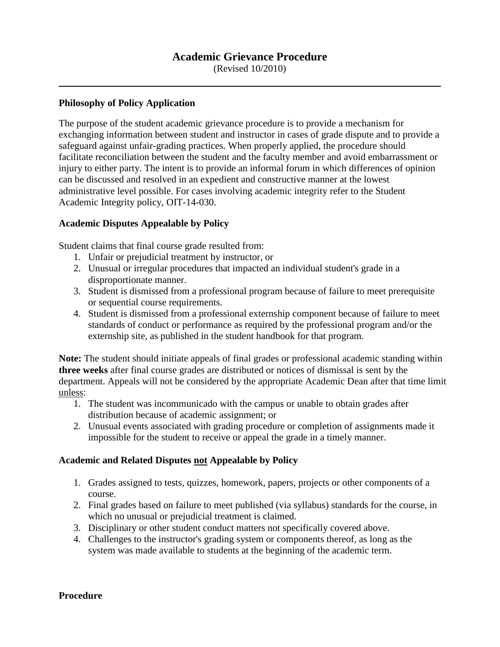(Revised 10/2010)

## **Philosophy of Policy Application**

The purpose of the student academic grievance procedure is to provide a mechanism for exchanging information between student and instructor in cases of grade dispute and to provide a safeguard against unfair-grading practices. When properly applied, the procedure should facilitate reconciliation between the student and the faculty member and avoid embarrassment or injury to either party. The intent is to provide an informal forum in which differences of opinion can be discussed and resolved in an expedient and constructive manner at the lowest administrative level possible. For cases involving academic integrity refer to the Student Academic Integrity policy, OIT-14-030.

## **Academic Disputes Appealable by Policy**

Student claims that final course grade resulted from:

- 1. Unfair or prejudicial treatment by instructor, or
- 2. Unusual or irregular procedures that impacted an individual student's grade in a disproportionate manner.
- 3. Student is dismissed from a professional program because of failure to meet prerequisite or sequential course requirements.
- 4. Student is dismissed from a professional externship component because of failure to meet standards of conduct or performance as required by the professional program and/or the externship site, as published in the student handbook for that program.

**Note:** The student should initiate appeals of final grades or professional academic standing within **three weeks** after final course grades are distributed or notices of dismissal is sent by the department. Appeals will not be considered by the appropriate Academic Dean after that time limit unless:

- 1. The student was incommunicado with the campus or unable to obtain grades after distribution because of academic assignment; or
- 2. Unusual events associated with grading procedure or completion of assignments made it impossible for the student to receive or appeal the grade in a timely manner.

# **Academic and Related Disputes not Appealable by Policy**

- 1. Grades assigned to tests, quizzes, homework, papers, projects or other components of a course.
- 2. Final grades based on failure to meet published (via syllabus) standards for the course, in which no unusual or prejudicial treatment is claimed.
- 3. Disciplinary or other student conduct matters not specifically covered above.
- 4. Challenges to the instructor's grading system or components thereof, as long as the system was made available to students at the beginning of the academic term.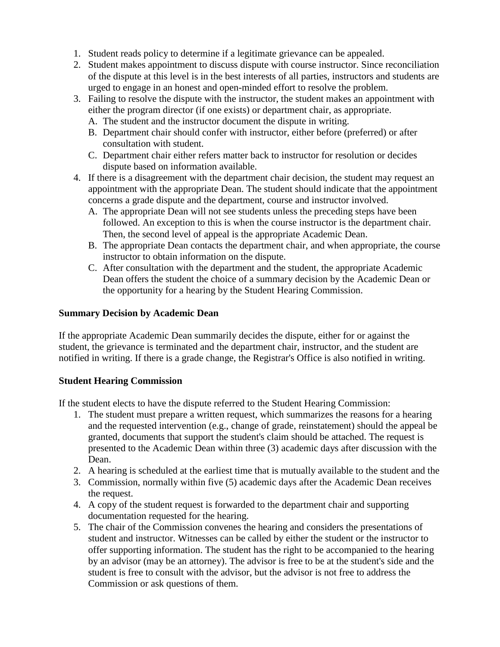- 1. Student reads policy to determine if a legitimate grievance can be appealed.
- 2. Student makes appointment to discuss dispute with course instructor. Since reconciliation of the dispute at this level is in the best interests of all parties, instructors and students are urged to engage in an honest and open-minded effort to resolve the problem.
- 3. Failing to resolve the dispute with the instructor, the student makes an appointment with either the program director (if one exists) or department chair, as appropriate.
	- A. The student and the instructor document the dispute in writing.
	- B. Department chair should confer with instructor, either before (preferred) or after consultation with student.
	- C. Department chair either refers matter back to instructor for resolution or decides dispute based on information available.
- 4. If there is a disagreement with the department chair decision, the student may request an appointment with the appropriate Dean. The student should indicate that the appointment concerns a grade dispute and the department, course and instructor involved.
	- A. The appropriate Dean will not see students unless the preceding steps have been followed. An exception to this is when the course instructor is the department chair. Then, the second level of appeal is the appropriate Academic Dean.
	- B. The appropriate Dean contacts the department chair, and when appropriate, the course instructor to obtain information on the dispute.
	- C. After consultation with the department and the student, the appropriate Academic Dean offers the student the choice of a summary decision by the Academic Dean or the opportunity for a hearing by the Student Hearing Commission.

# **Summary Decision by Academic Dean**

If the appropriate Academic Dean summarily decides the dispute, either for or against the student, the grievance is terminated and the department chair, instructor, and the student are notified in writing. If there is a grade change, the Registrar's Office is also notified in writing.

# **Student Hearing Commission**

If the student elects to have the dispute referred to the Student Hearing Commission:

- 1. The student must prepare a written request, which summarizes the reasons for a hearing and the requested intervention (e.g., change of grade, reinstatement) should the appeal be granted, documents that support the student's claim should be attached. The request is presented to the Academic Dean within three (3) academic days after discussion with the Dean.
- 2. A hearing is scheduled at the earliest time that is mutually available to the student and the
- 3. Commission, normally within five (5) academic days after the Academic Dean receives the request.
- 4. A copy of the student request is forwarded to the department chair and supporting documentation requested for the hearing.
- 5. The chair of the Commission convenes the hearing and considers the presentations of student and instructor. Witnesses can be called by either the student or the instructor to offer supporting information. The student has the right to be accompanied to the hearing by an advisor (may be an attorney). The advisor is free to be at the student's side and the student is free to consult with the advisor, but the advisor is not free to address the Commission or ask questions of them.